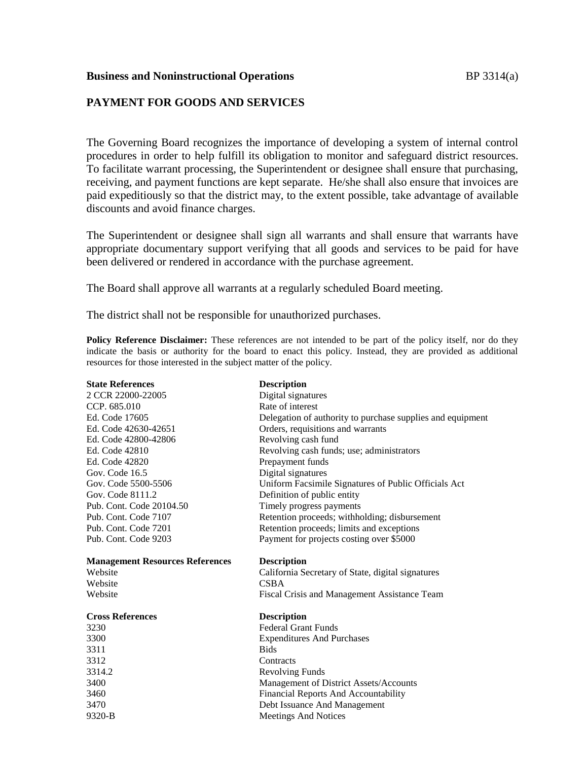# **PAYMENT FOR GOODS AND SERVICES**

The Governing Board recognizes the importance of developing a system of internal control procedures in order to help fulfill its obligation to monitor and safeguard district resources. To facilitate warrant processing, the Superintendent or designee shall ensure that purchasing, receiving, and payment functions are kept separate. He/she shall also ensure that invoices are paid expeditiously so that the district may, to the extent possible, take advantage of available discounts and avoid finance charges.

The Superintendent or designee shall sign all warrants and shall ensure that warrants have appropriate documentary support verifying that all goods and services to be paid for have been delivered or rendered in accordance with the purchase agreement.

The Board shall approve all warrants at a regularly scheduled Board meeting.

The district shall not be responsible for unauthorized purchases.

**Policy Reference Disclaimer:** These references are not intended to be part of the policy itself, nor do they indicate the basis or authority for the board to enact this policy. Instead, they are provided as additional resources for those interested in the subject matter of the policy.

| <b>State References</b>                | <b>Description</b>                                         |
|----------------------------------------|------------------------------------------------------------|
| 2 CCR 22000-22005                      | Digital signatures                                         |
| CCP. 685.010                           | Rate of interest                                           |
| Ed. Code 17605                         | Delegation of authority to purchase supplies and equipment |
| Ed. Code 42630-42651                   | Orders, requisitions and warrants                          |
| Ed. Code 42800-42806                   | Revolving cash fund                                        |
| Ed. Code 42810                         | Revolving cash funds; use; administrators                  |
| Ed. Code 42820                         | Prepayment funds                                           |
| Gov. Code 16.5                         | Digital signatures                                         |
| Gov. Code 5500-5506                    | Uniform Facsimile Signatures of Public Officials Act       |
| Gov. Code 8111.2                       | Definition of public entity                                |
| Pub. Cont. Code 20104.50               | Timely progress payments                                   |
| Pub. Cont. Code 7107                   | Retention proceeds; withholding; disbursement              |
| Pub. Cont. Code 7201                   | Retention proceeds; limits and exceptions                  |
| Pub. Cont. Code 9203                   | Payment for projects costing over \$5000                   |
|                                        |                                                            |
| <b>Management Resources References</b> | <b>Description</b>                                         |
| Website                                | California Secretary of State, digital signatures          |
| Website                                | <b>CSBA</b>                                                |
| Website                                | Fiscal Crisis and Management Assistance Team               |
| <b>Cross References</b>                | <b>Description</b>                                         |
| 3230                                   | <b>Federal Grant Funds</b>                                 |
| 3300                                   | <b>Expenditures And Purchases</b>                          |
| 3311                                   | <b>Bids</b>                                                |
| 3312                                   | Contracts                                                  |
| 3314.2                                 | <b>Revolving Funds</b>                                     |
| 3400                                   | Management of District Assets/Accounts                     |
| 3460                                   | Financial Reports And Accountability                       |
| 3470                                   | Debt Issuance And Management                               |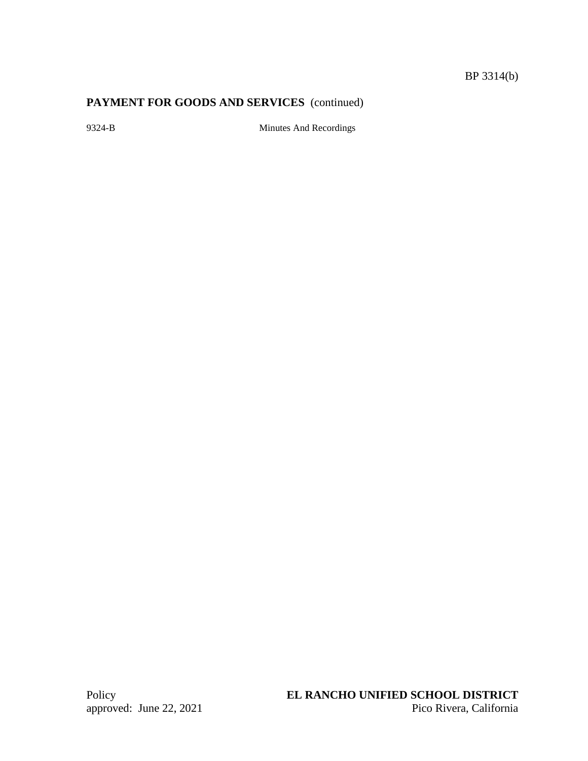# **PAYMENT FOR GOODS AND SERVICES** (continued)

9324-B Minutes And Recordings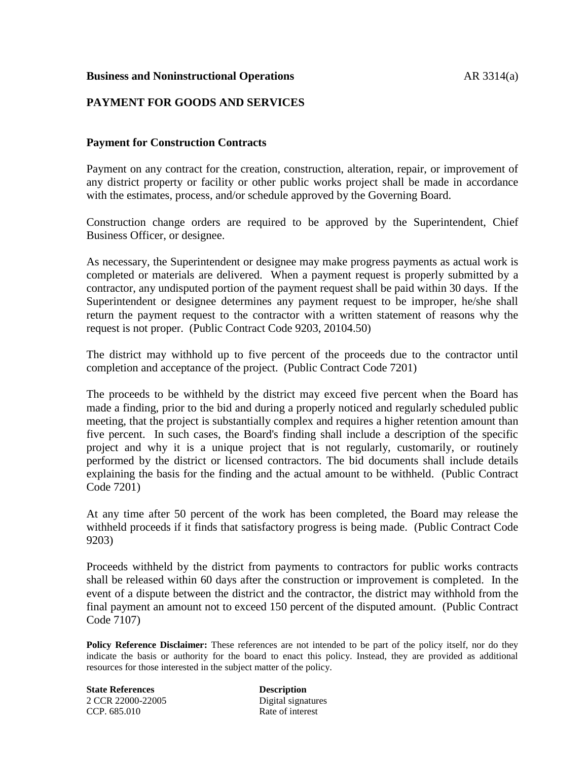### **Business and Noninstructional Operations AR 3314(a)**

# **PAYMENT FOR GOODS AND SERVICES**

### **Payment for Construction Contracts**

Payment on any contract for the creation, construction, alteration, repair, or improvement of any district property or facility or other public works project shall be made in accordance with the estimates, process, and/or schedule approved by the Governing Board.

Construction change orders are required to be approved by the Superintendent, Chief Business Officer, or designee.

As necessary, the Superintendent or designee may make progress payments as actual work is completed or materials are delivered. When a payment request is properly submitted by a contractor, any undisputed portion of the payment request shall be paid within 30 days. If the Superintendent or designee determines any payment request to be improper, he/she shall return the payment request to the contractor with a written statement of reasons why the request is not proper. (Public Contract Code 9203, 20104.50)

The district may withhold up to five percent of the proceeds due to the contractor until completion and acceptance of the project. (Public Contract Code 7201)

The proceeds to be withheld by the district may exceed five percent when the Board has made a finding, prior to the bid and during a properly noticed and regularly scheduled public meeting, that the project is substantially complex and requires a higher retention amount than five percent. In such cases, the Board's finding shall include a description of the specific project and why it is a unique project that is not regularly, customarily, or routinely performed by the district or licensed contractors. The bid documents shall include details explaining the basis for the finding and the actual amount to be withheld. (Public Contract Code 7201)

At any time after 50 percent of the work has been completed, the Board may release the withheld proceeds if it finds that satisfactory progress is being made. (Public Contract Code 9203)

Proceeds withheld by the district from payments to contractors for public works contracts shall be released within 60 days after the construction or improvement is completed. In the event of a dispute between the district and the contractor, the district may withhold from the final payment an amount not to exceed 150 percent of the disputed amount. (Public Contract Code 7107)

**Policy Reference Disclaimer:** These references are not intended to be part of the policy itself, nor do they indicate the basis or authority for the board to enact this policy. Instead, they are provided as additional resources for those interested in the subject matter of the policy.

**State References Description** 2 CCR 22000-22005 Digital signatures CCP. 685.010 Rate of interest